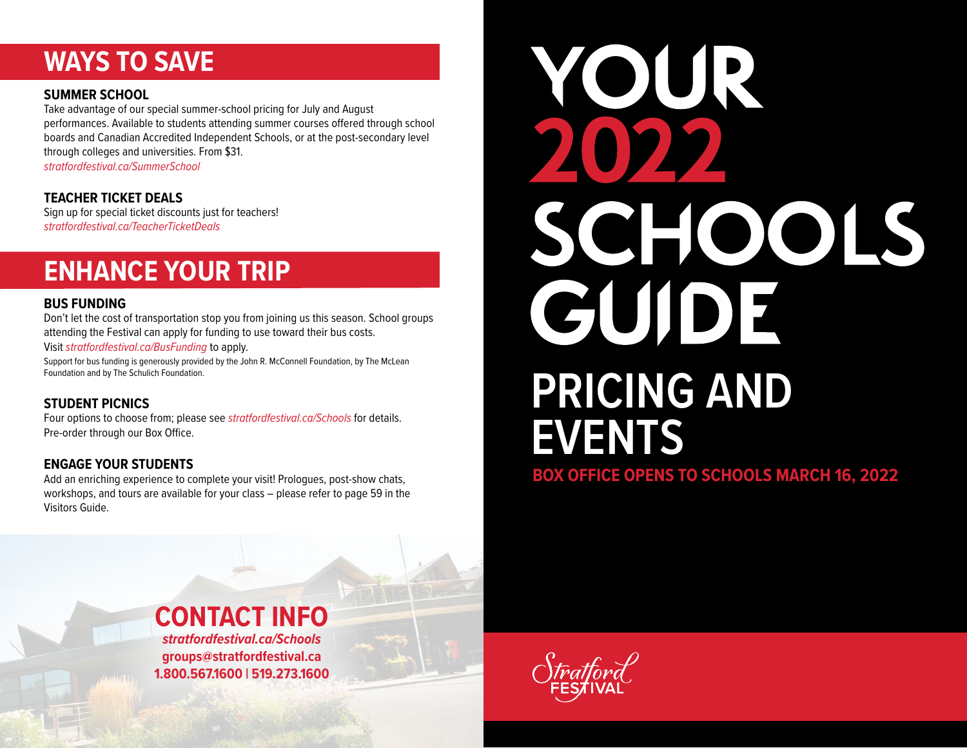# **WAYS TO SAVE**

#### **SUMMER SCHOOL**

Take advantage of our special summer-school pricing for July and August performances. Available to students attending summer courses offered through school boards and Canadian Accredited Independent Schools, or at the post-secondary level through colleges and universities. From \$31. *[stratfordfestival.ca/SummerSchool](http://www.stratfordfestival.ca/SummerSchool)*

# **TEACHER TICKET DEALS**

Sign up for special ticket discounts just for teachers! *[stratfordfestival.ca/TeacherTicketDeals](http://www.stratfordfestival.ca/TeacherTicketDeals)*

# **ENHANCE YOUR TRIP**

#### **BUS FUNDING**

Don't let the cost of transportation stop you from joining us this season. School groups attending the Festival can apply for funding to use toward their bus costs.

Visit *[stratfordfestival.ca/BusFunding](http://www.stratfordfestival.ca/BusFunding)* to apply.

Support for bus funding is generously provided by the John R. McConnell Foundation, by The McLean Foundation and by The Schulich Foundation.

# **STUDENT PICNICS**

Four options to choose from; please see *[stratfordfestival.ca/Schools](http://www.stratfordfestival.ca/Schools)* for details. Pre-order through our Box Office.

# **ENGAGE YOUR STUDENTS**

Add an enriching experience to complete your visit! Prologues, post-show chats, workshops, and tours are available for your class – please refer to page 59 in the Visitors Guide.

# **YOUR** SCHOOLS GUIDE **PRICING AND EVENTS BOX OFFICE OPENS TO SCHOOLS MARCH 16, 2022**



*[stratfordfestival.ca/Schools](http://www.stratfordfestival.ca/Schools)* **[groups@stratfordfestival.ca](mailto:groups%40stratfordfestival.ca?subject=) 1.800.567.1600 | 519.273.1600**